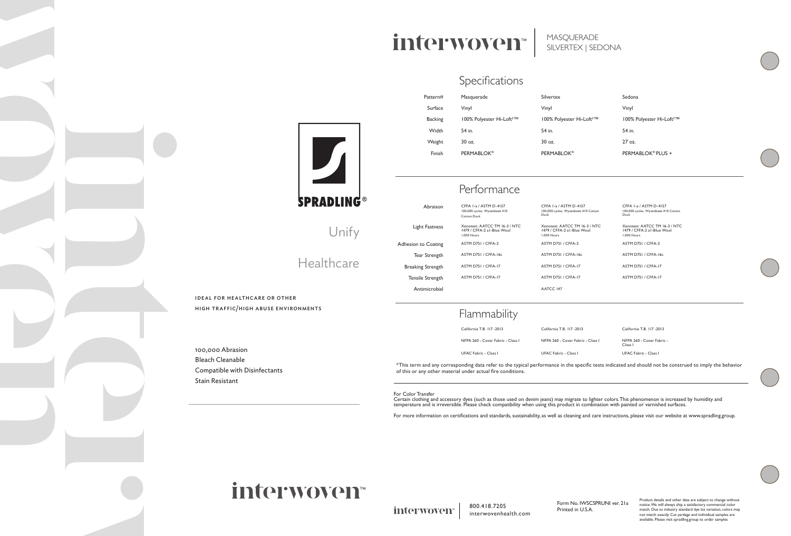## Unify

## Healthcare

ideal for healthcare or other high traffic/high abuse environments

100,000 Abrasion Bleach Cleanable Compatible with Disinfectants Stain Resistant

™ 100% Polyester Hi-Loft2 ™ PERMABLOK® PLUS +

# interwoven<sup>®</sup>

MASQUERADE SILVERTEX | SEDONA

### Specifications

#### Flammability

| Pattern#       | Masquerade                           | Silvertex                            | Sedona   |
|----------------|--------------------------------------|--------------------------------------|----------|
| Surface        | Vinyl                                | Vinyl                                | Vinyl    |
| <b>Backing</b> | 100% Polyester Hi-Loft <sup>2™</sup> | 100% Polyester Hi-Loft <sup>2™</sup> | 100% P   |
| Width          | 54 in.                               | 54 in.                               | 54 in.   |
| Weight         | $30 \text{ oz}$ .                    | $30$ oz.                             | $27$ oz. |
| Finish         | <b>PERMABLOK®</b>                    | <b>PERMABLOK®</b>                    | PERMA    |
|                |                                      |                                      |          |

|                          | Performance                                                                |                                                                            |                                                                |
|--------------------------|----------------------------------------------------------------------------|----------------------------------------------------------------------------|----------------------------------------------------------------|
| Abraison                 | CFFA 1-a / ASTM D-4157<br>100,000 cycles, Wyzenbeek #10<br>Cotton Duck     | CFFA 1-a / ASTM D-4157<br>100,000 cycles, Wyzenbeek #10 Cotton<br>Duck     | CFFA 1-a / ASTM D-415<br>100,000 cycles, Wyzenbeek #<br>Duck   |
| Light Fastness           | Xenotest: AATCC TM 16-3 / NTC<br>1479 / CFFA-2 al-Blue Wool<br>1.000 Hours | Xenotest: AATCC TM 16-3 / NTC<br>1479 / CFFA-2 al-Blue Wool<br>1.000 Hours | Xenotest: AATCC TM I<br>1479 / CFFA-2 al-Blue V<br>1.000 Hours |
| Adhesion to Coating      | ASTM D751 / CFFA-3                                                         | ASTM D751 / CFFA-3                                                         | ASTM D751 / CFFA-3                                             |
| Tear Strength            | ASTM D751 / CFFA-16c                                                       | ASTM D751 / CFFA-16c                                                       | ASTM D751 / CFFA-16c                                           |
| <b>Breaking Strength</b> | ASTM D751 / CFFA-17                                                        | ASTM D751 / CFFA-17                                                        | ASTM D751 / CFFA-17                                            |
| Tensile Strength         | ASTM D751 / CFFA-17                                                        | ASTM D751 / CFFA-17                                                        | ASTM D751 / CFFA-17                                            |
| Antimicrobial            |                                                                            | AATCC 147                                                                  |                                                                |

CFFA 1-a / ASTM D-4157 100,000 cycles, Wyzenbeek #10 Cotton Duck Xenotest: AATCC TM 16-3 / NTC 1479 / CFFA-2 a1-Blue Wool 1,000 Hours

California T.B. 117 -2013



| California T.B. 117-2013          | California T.B. 117-2013          | California T.B. 117-2013                        |
|-----------------------------------|-----------------------------------|-------------------------------------------------|
| NFPA 260 - Cover Fabric - Class I | NFPA 260 - Cover Fabric - Class I | NFPA 260 - Cover Fabric -<br>Class <sub>I</sub> |
| <b>UFAC Fabric - Class L</b>      | <b>UFAC Fabric - Class I</b>      | <b>UFAC Fabric - Class I</b>                    |

\*This term and any corresponding data refer to the typical performance in the specific tests indicated and should not be construed to imply the behavior of this or any other material under actual fire conditions.

For Color Transfer

Certain clothing and accessory dyes (such as those used on denim jeans) may migrate to lighter colors. This phenomenon is increased by humidity and temperature and is irreversible. Please check compatibility when using this product in combination with painted or varnished surfaces.

For more information on certifications and standards, sustainability, as well as cleaning and care instructions, please visit our website at www.spradling.group.

# interwoven<sup>®</sup>

interwoven<sup>®</sup>

800.418.7205 interwovenhealth.com

Form No. IWSCSPRUNI ver. 21a Printed in U.S.A.



Product details and other data are subject to change without notice. We will always ship a satisfactory commercial color match. Due to industry standard dye lot variation, colors may not match exactly. Cut yardage and individiual samples are available. Please visit spradling.group to order samples